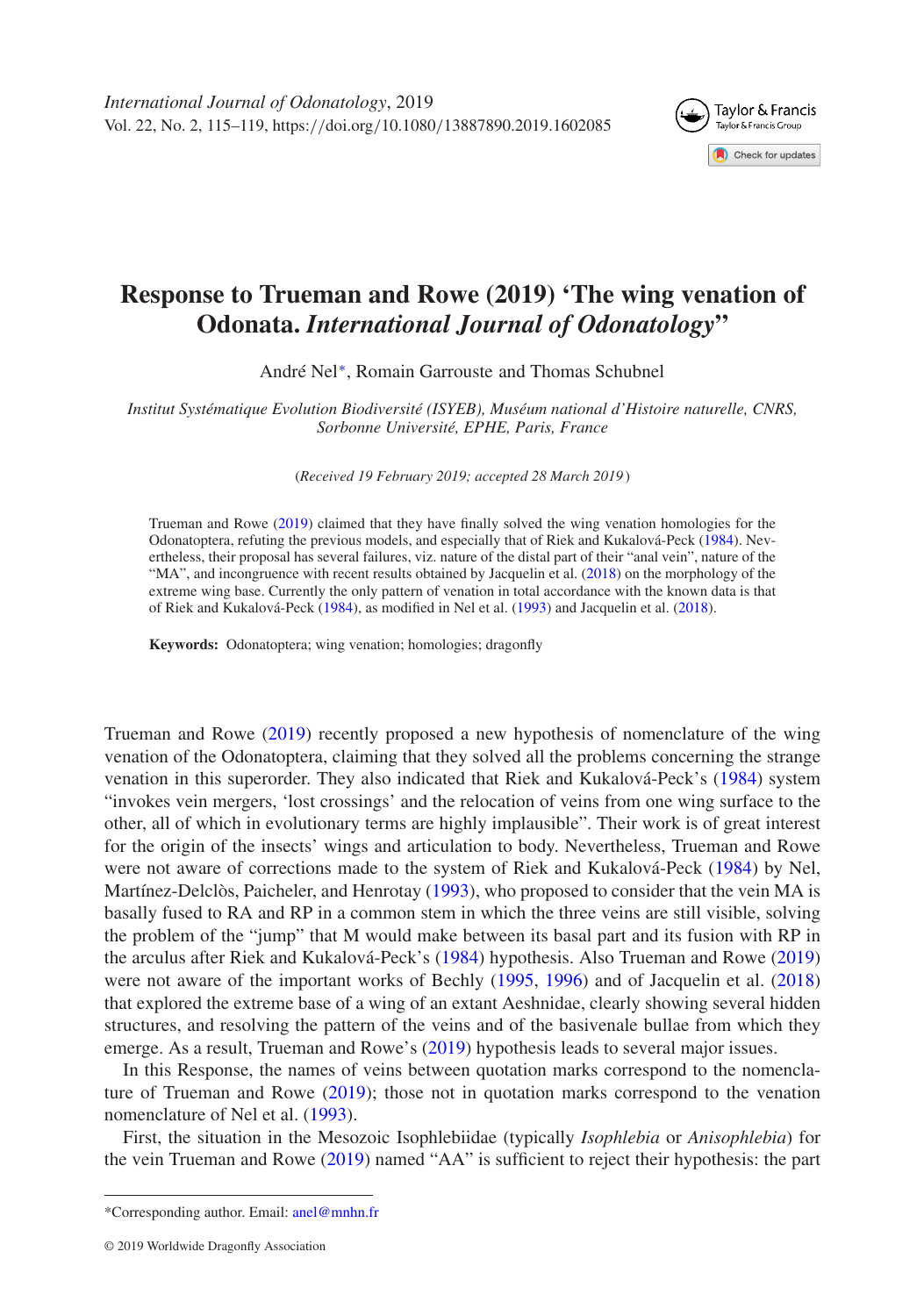

## **Response to Trueman and Rowe (2019) 'The wing venation of Odonata.** *International Journal of Odonatology***"**

André Nel[∗](#page-0-0), Romain Garrouste and Thomas Schubnel

*Institut Systématique Evolution Biodiversité (ISYEB), Muséum national d'Histoire naturelle, CNRS, Sorbonne Université, EPHE, Paris, France*

(*Received 19 February 2019; accepted 28 March 2019*)

Trueman and Rowe [\(2019\)](#page-4-0) claimed that they have finally solved the wing venation homologies for the Odonatoptera, refuting the previous models, and especially that of Riek and Kukalová-Peck [\(1984\)](#page-4-1). Nevertheless, their proposal has several failures, viz. nature of the distal part of their "anal vein", nature of the "MA", and incongruence with recent results obtained by Jacquelin et al. [\(2018\)](#page-4-2) on the morphology of the extreme wing base. Currently the only pattern of venation in total accordance with the known data is that of Riek and Kukalová-Peck [\(1984\)](#page-4-1), as modified in Nel et al. [\(1993\)](#page-4-3) and Jacquelin et al. [\(2018\)](#page-4-2).

**Keywords:** Odonatoptera; wing venation; homologies; dragonfly

Trueman and Rowe [\(2019\)](#page-4-0) recently proposed a new hypothesis of nomenclature of the wing venation of the Odonatoptera, claiming that they solved all the problems concerning the strange venation in this superorder. They also indicated that Riek and Kukalová-Peck's [\(1984\)](#page-4-1) system "invokes vein mergers, 'lost crossings' and the relocation of veins from one wing surface to the other, all of which in evolutionary terms are highly implausible". Their work is of great interest for the origin of the insects' wings and articulation to body. Nevertheless, Trueman and Rowe were not aware of corrections made to the system of Riek and Kukalová-Peck [\(1984\)](#page-4-1) by Nel, Martínez-Delclòs, Paicheler, and Henrotay [\(1993\)](#page-4-3), who proposed to consider that the vein MA is basally fused to RA and RP in a common stem in which the three veins are still visible, solving the problem of the "jump" that M would make between its basal part and its fusion with RP in the arculus after Riek and Kukalová-Peck's [\(1984\)](#page-4-1) hypothesis. Also Trueman and Rowe [\(2019\)](#page-4-0) were not aware of the important works of Bechly [\(1995,](#page-4-4) [1996\)](#page-4-5) and of Jacquelin et al. [\(2018\)](#page-4-2) that explored the extreme base of a wing of an extant Aeshnidae, clearly showing several hidden structures, and resolving the pattern of the veins and of the basivenale bullae from which they emerge. As a result, Trueman and Rowe's [\(2019\)](#page-4-0) hypothesis leads to several major issues.

In this Response, the names of veins between quotation marks correspond to the nomenclature of Trueman and Rowe [\(2019\)](#page-4-0); those not in quotation marks correspond to the venation nomenclature of Nel et al. [\(1993\)](#page-4-3).

First, the situation in the Mesozoic Isophlebiidae (typically *Isophlebia* or *Anisophlebia*) for the vein Trueman and Rowe [\(2019\)](#page-4-0) named "AA" is sufficient to reject their hypothesis: the part

<span id="page-0-0"></span><sup>\*</sup>Corresponding author. Email: [anel@mnhn.fr](mailto:anel@mnhn.fr)

<sup>© 2019</sup> Worldwide Dragonfly Association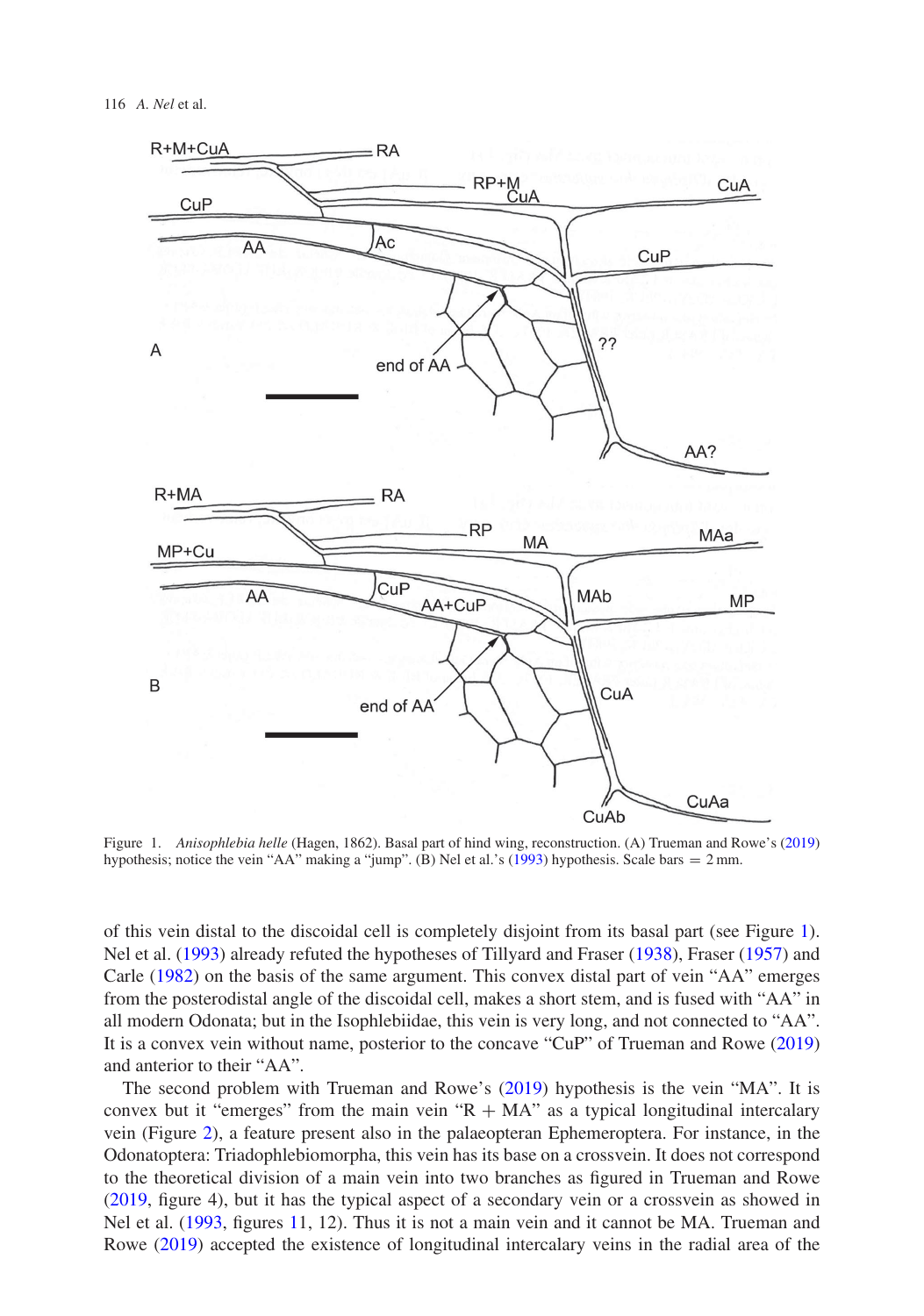

<span id="page-1-0"></span>Figure 1. *Anisophlebia helle* (Hagen, 1862). Basal part of hind wing, reconstruction. (A) Trueman and Rowe's [\(2019\)](#page-4-0) hypothesis; notice the vein "AA" making a "jump". (B) Nel et al.'s [\(1993\)](#page-4-3) hypothesis. Scale bars = 2 mm.

of this vein distal to the discoidal cell is completely disjoint from its basal part (see Figure [1\)](#page-1-0). Nel et al. [\(1993\)](#page-4-3) already refuted the hypotheses of Tillyard and Fraser [\(1938\)](#page-4-6), Fraser [\(1957\)](#page-4-7) and Carle [\(1982\)](#page-4-8) on the basis of the same argument. This convex distal part of vein "AA" emerges from the posterodistal angle of the discoidal cell, makes a short stem, and is fused with "AA" in all modern Odonata; but in the Isophlebiidae, this vein is very long, and not connected to "AA". It is a convex vein without name, posterior to the concave "CuP" of Trueman and Rowe [\(2019\)](#page-4-0) and anterior to their "AA".

The second problem with Trueman and Rowe's [\(2019\)](#page-4-0) hypothesis is the vein "MA". It is convex but it "emerges" from the main vein " $R + MA$ " as a typical longitudinal intercalary vein (Figure [2\)](#page-2-0), a feature present also in the palaeopteran Ephemeroptera. For instance, in the Odonatoptera: Triadophlebiomorpha, this vein has its base on a crossvein. It does not correspond to the theoretical division of a main vein into two branches as figured in Trueman and Rowe [\(2019,](#page-4-0) figure 4), but it has the typical aspect of a secondary vein or a crossvein as showed in Nel et al. [\(1993,](#page-4-3) figures [11](#page-1-0), 12). Thus it is not a main vein and it cannot be MA. Trueman and Rowe [\(2019\)](#page-4-0) accepted the existence of longitudinal intercalary veins in the radial area of the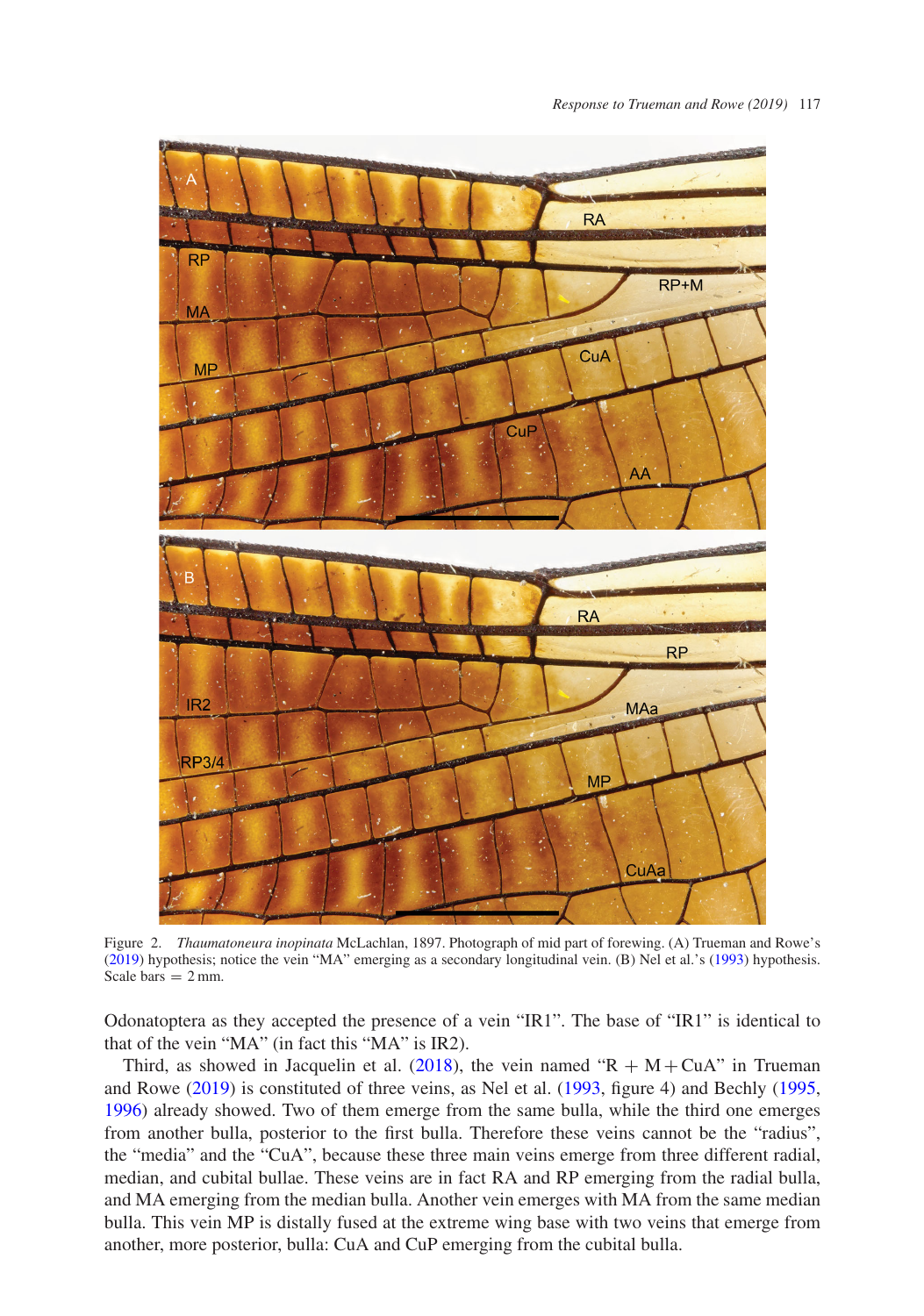

<span id="page-2-0"></span>Figure 2. *Thaumatoneura inopinata* McLachlan, 1897. Photograph of mid part of forewing. (A) Trueman and Rowe's [\(2019\)](#page-4-0) hypothesis; notice the vein "MA" emerging as a secondary longitudinal vein. (B) Nel et al.'s [\(1993\)](#page-4-3) hypothesis. Scale bars  $= 2$  mm.

Odonatoptera as they accepted the presence of a vein "IR1". The base of "IR1" is identical to that of the vein "MA" (in fact this "MA" is IR2).

Third, as showed in Jacquelin et al. [\(2018\)](#page-4-2), the vein named " $R + M + CuA$ " in Trueman and Rowe [\(2019\)](#page-4-0) is constituted of three veins, as Nel et al. [\(1993,](#page-4-3) figure 4) and Bechly [\(1995,](#page-4-4) [1996\)](#page-4-5) already showed. Two of them emerge from the same bulla, while the third one emerges from another bulla, posterior to the first bulla. Therefore these veins cannot be the "radius", the "media" and the "CuA", because these three main veins emerge from three different radial, median, and cubital bullae. These veins are in fact RA and RP emerging from the radial bulla, and MA emerging from the median bulla. Another vein emerges with MA from the same median bulla. This vein MP is distally fused at the extreme wing base with two veins that emerge from another, more posterior, bulla: CuA and CuP emerging from the cubital bulla.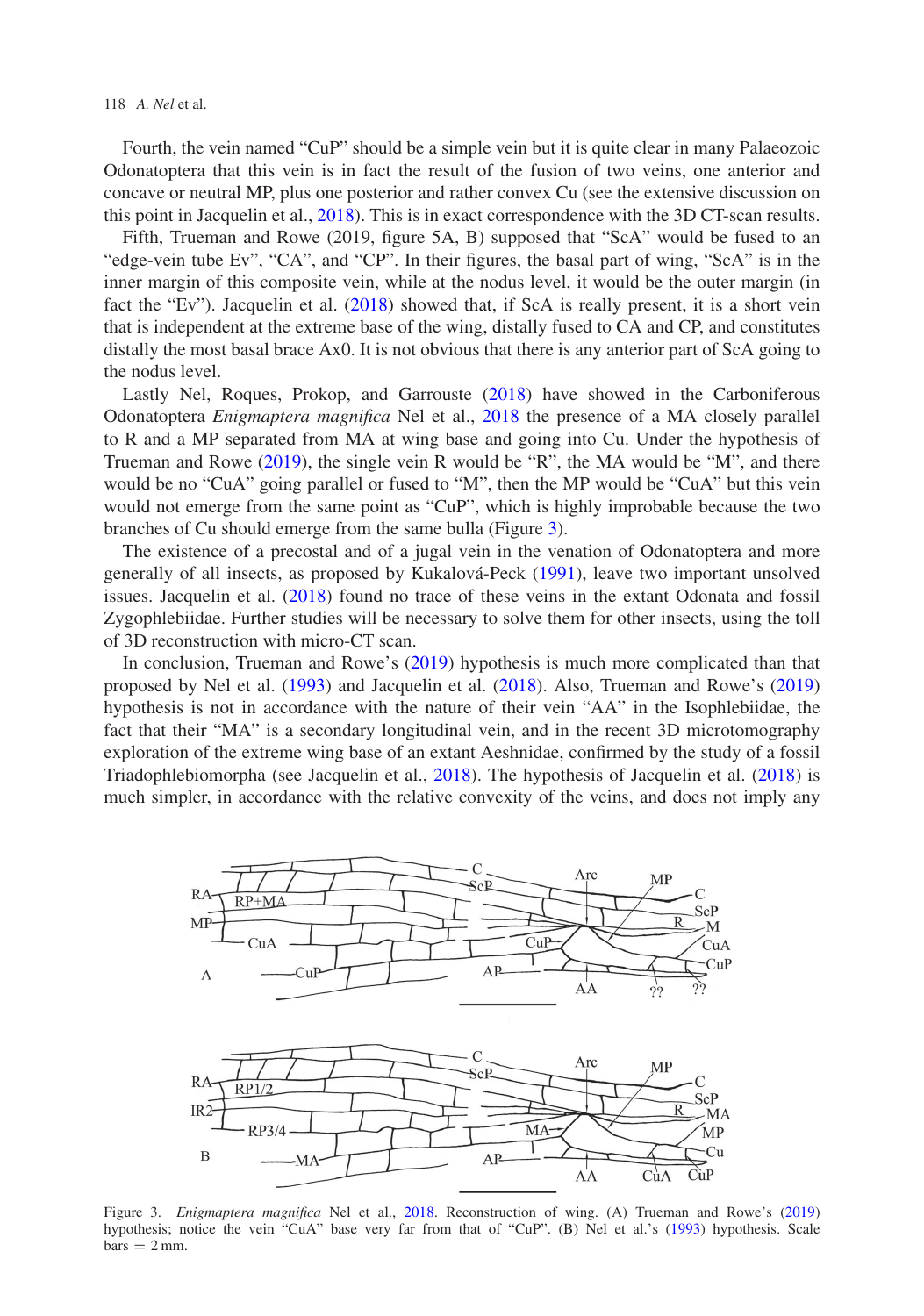118 *A. Nel* et al.

Fourth, the vein named "CuP" should be a simple vein but it is quite clear in many Palaeozoic Odonatoptera that this vein is in fact the result of the fusion of two veins, one anterior and concave or neutral MP, plus one posterior and rather convex Cu (see the extensive discussion on this point in Jacquelin et al., [2018\)](#page-4-2). This is in exact correspondence with the 3D CT-scan results.

Fifth, Trueman and Rowe (2019, figure 5A, B) supposed that "ScA" would be fused to an "edge-vein tube Ev", "CA", and "CP". In their figures, the basal part of wing, "ScA" is in the inner margin of this composite vein, while at the nodus level, it would be the outer margin (in fact the "Ev"). Jacquelin et al. [\(2018\)](#page-4-2) showed that, if ScA is really present, it is a short vein that is independent at the extreme base of the wing, distally fused to CA and CP, and constitutes distally the most basal brace Ax0. It is not obvious that there is any anterior part of ScA going to the nodus level.

Lastly Nel, Roques, Prokop, and Garrouste [\(2018\)](#page-4-9) have showed in the Carboniferous Odonatoptera *Enigmaptera magnifica* Nel et al., [2018](#page-4-9) the presence of a MA closely parallel to R and a MP separated from MA at wing base and going into Cu. Under the hypothesis of Trueman and Rowe [\(2019\)](#page-4-0), the single vein R would be "R", the MA would be "M", and there would be no "CuA" going parallel or fused to "M", then the MP would be "CuA" but this vein would not emerge from the same point as "CuP", which is highly improbable because the two branches of Cu should emerge from the same bulla (Figure [3\)](#page-3-0).

The existence of a precostal and of a jugal vein in the venation of Odonatoptera and more generally of all insects, as proposed by Kukalová-Peck [\(1991\)](#page-4-10), leave two important unsolved issues. Jacquelin et al. [\(2018\)](#page-4-2) found no trace of these veins in the extant Odonata and fossil Zygophlebiidae. Further studies will be necessary to solve them for other insects, using the toll of 3D reconstruction with micro-CT scan.

In conclusion, Trueman and Rowe's [\(2019\)](#page-4-0) hypothesis is much more complicated than that proposed by Nel et al. [\(1993\)](#page-4-3) and Jacquelin et al. [\(2018\)](#page-4-2). Also, Trueman and Rowe's [\(2019\)](#page-4-0) hypothesis is not in accordance with the nature of their vein "AA" in the Isophlebiidae, the fact that their "MA" is a secondary longitudinal vein, and in the recent 3D microtomography exploration of the extreme wing base of an extant Aeshnidae, confirmed by the study of a fossil Triadophlebiomorpha (see Jacquelin et al., [2018\)](#page-4-2). The hypothesis of Jacquelin et al. [\(2018\)](#page-4-2) is much simpler, in accordance with the relative convexity of the veins, and does not imply any



<span id="page-3-0"></span>Figure 3. *Enigmaptera magnifica* Nel et al., [2018.](#page-4-9) Reconstruction of wing. (A) Trueman and Rowe's [\(2019\)](#page-4-0) hypothesis; notice the vein "CuA" base very far from that of "CuP". (B) Nel et al.'s [\(1993\)](#page-4-3) hypothesis. Scale  $bars = 2 mm$ .